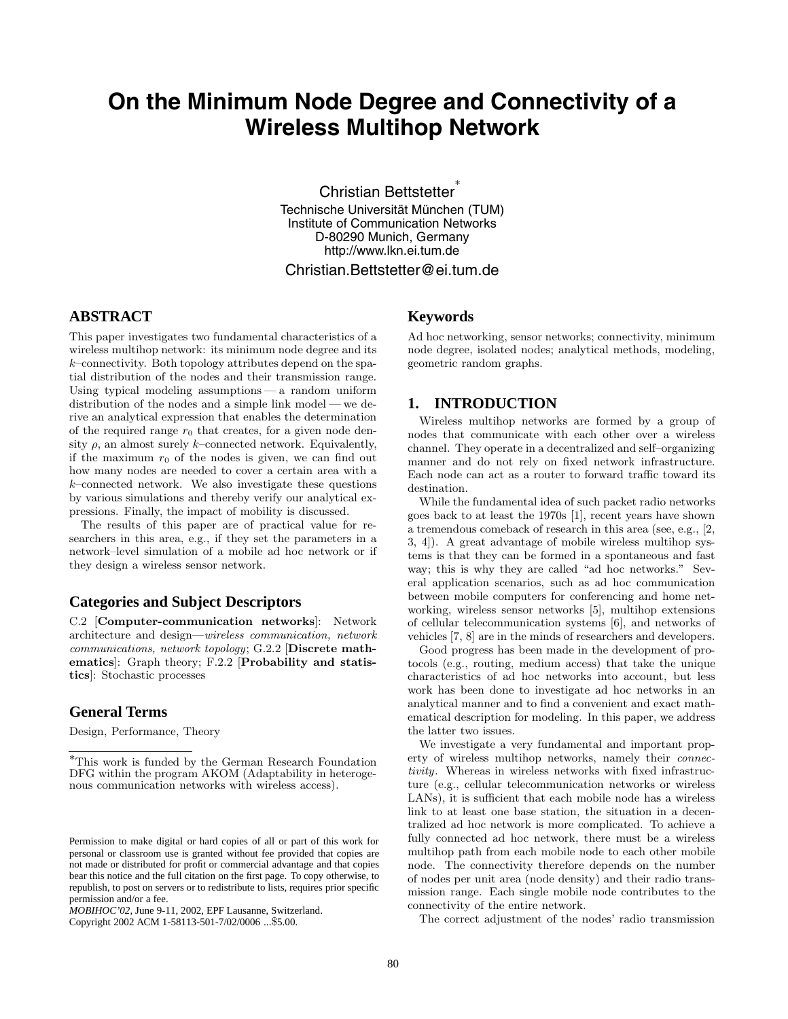# **On the Minimum Node Degree and Connectivity of a Wireless Multihop Network**

Christian Bettstetter<sup>∗</sup> Technische Universität München (TUM) Institute of Communication Networks D-80290 Munich, Germany http://www.lkn.ei.tum.de

# Christian.Bettstetter@ei.tum.de

# **ABSTRACT**

This paper investigates two fundamental characteristics of a wireless multihop network: its minimum node degree and its  $k$ –connectivity. Both topology attributes depend on the spatial distribution of the nodes and their transmission range. Using typical modeling assumptions — a random uniform distribution of the nodes and a simple link model — we derive an analytical expression that enables the determination of the required range  $r_0$  that creates, for a given node density  $\rho$ , an almost surely k–connected network. Equivalently, if the maximum  $r_0$  of the nodes is given, we can find out how many nodes are needed to cover a certain area with a  $k$ –connected network. We also investigate these questions by various simulations and thereby verify our analytical expressions. Finally, the impact of mobility is discussed.

The results of this paper are of practical value for researchers in this area, e.g., if they set the parameters in a network–level simulation of a mobile ad hoc network or if they design a wireless sensor network.

# **Categories and Subject Descriptors**

C.2 [**Computer-communication networks**]: Network architecture and design—wireless communication, network communications, network topology; G.2.2 [**Discrete mathematics**]: Graph theory; F.2.2 [**Probability and statistics**]: Stochastic processes

### **General Terms**

Design, Performance, Theory

Copyright 2002 ACM 1-58113-501-7/02/0006 ...\$5.00.

# **Keywords**

Ad hoc networking, sensor networks; connectivity, minimum node degree, isolated nodes; analytical methods, modeling, geometric random graphs.

# **1. INTRODUCTION**

Wireless multihop networks are formed by a group of nodes that communicate with each other over a wireless channel. They operate in a decentralized and self–organizing manner and do not rely on fixed network infrastructure. Each node can act as a router to forward traffic toward its destination.

While the fundamental idea of such packet radio networks goes back to at least the 1970s [1], recent years have shown a tremendous comeback of research in this area (see, e.g., [2, 3, 4]). A great advantage of mobile wireless multihop systems is that they can be formed in a spontaneous and fast way; this is why they are called "ad hoc networks." Several application scenarios, such as ad hoc communication between mobile computers for conferencing and home networking, wireless sensor networks [5], multihop extensions of cellular telecommunication systems [6], and networks of vehicles [7, 8] are in the minds of researchers and developers.

Good progress has been made in the development of protocols (e.g., routing, medium access) that take the unique characteristics of ad hoc networks into account, but less work has been done to investigate ad hoc networks in an analytical manner and to find a convenient and exact mathematical description for modeling. In this paper, we address the latter two issues.

We investigate a very fundamental and important property of wireless multihop networks, namely their connectivity. Whereas in wireless networks with fixed infrastructure (e.g., cellular telecommunication networks or wireless LANs), it is sufficient that each mobile node has a wireless link to at least one base station, the situation in a decentralized ad hoc network is more complicated. To achieve a fully connected ad hoc network, there must be a wireless multihop path from each mobile node to each other mobile node. The connectivity therefore depends on the number of nodes per unit area (node density) and their radio transmission range. Each single mobile node contributes to the connectivity of the entire network.

The correct adjustment of the nodes' radio transmission

<sup>∗</sup>This work is funded by the German Research Foundation DFG within the program AKOM (Adaptability in heterogenous communication networks with wireless access).

Permission to make digital or hard copies of all or part of this work for personal or classroom use is granted without fee provided that copies are not made or distributed for profit or commercial advantage and that copies bear this notice and the full citation on the first page. To copy otherwise, to republish, to post on servers or to redistribute to lists, requires prior specific permission and/or a fee.

*MOBIHOC'02,* June 9-11, 2002, EPF Lausanne, Switzerland.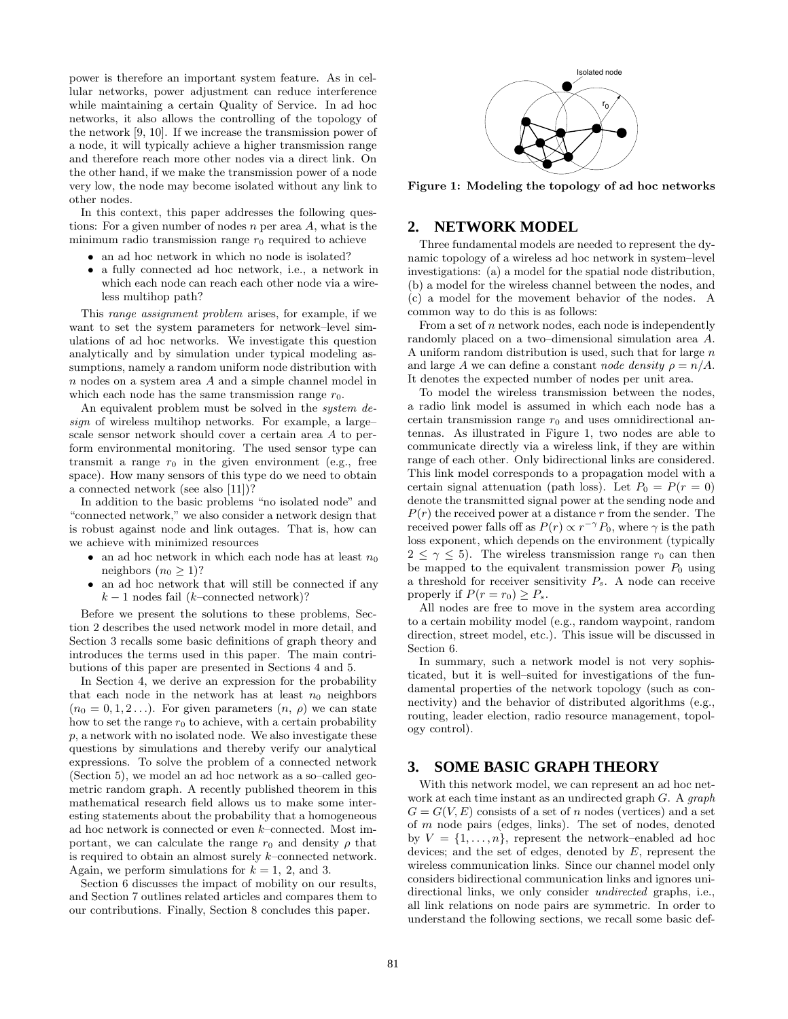power is therefore an important system feature. As in cellular networks, power adjustment can reduce interference while maintaining a certain Quality of Service. In ad hoc networks, it also allows the controlling of the topology of the network [9, 10]. If we increase the transmission power of a node, it will typically achieve a higher transmission range and therefore reach more other nodes via a direct link. On the other hand, if we make the transmission power of a node very low, the node may become isolated without any link to other nodes.

In this context, this paper addresses the following questions: For a given number of nodes  $n$  per area  $A$ , what is the minimum radio transmission range  $r_0$  required to achieve

- an ad hoc network in which no node is isolated?
- a fully connected ad hoc network, i.e., a network in which each node can reach each other node via a wireless multihop path?

This range assignment problem arises, for example, if we want to set the system parameters for network–level simulations of ad hoc networks. We investigate this question analytically and by simulation under typical modeling assumptions, namely a random uniform node distribution with n nodes on a system area A and a simple channel model in which each node has the same transmission range  $r_0$ .

An equivalent problem must be solved in the system design of wireless multihop networks. For example, a large– scale sensor network should cover a certain area A to perform environmental monitoring. The used sensor type can transmit a range  $r_0$  in the given environment (e.g., free space). How many sensors of this type do we need to obtain a connected network (see also [11])?

In addition to the basic problems "no isolated node" and "connected network," we also consider a network design that is robust against node and link outages. That is, how can we achieve with minimized resources

- an ad hoc network in which each node has at least  $n_0$ neighbors  $(n_0 > 1)$ ?
- an ad hoc network that will still be connected if any  $k-1$  nodes fail (k–connected network)?

Before we present the solutions to these problems, Section 2 describes the used network model in more detail, and Section 3 recalls some basic definitions of graph theory and introduces the terms used in this paper. The main contributions of this paper are presented in Sections 4 and 5.

In Section 4, we derive an expression for the probability that each node in the network has at least  $n_0$  neighbors  $(n_0 = 0, 1, 2...)$ . For given parameters  $(n, \rho)$  we can state how to set the range  $r_0$  to achieve, with a certain probability p, a network with no isolated node. We also investigate these questions by simulations and thereby verify our analytical expressions. To solve the problem of a connected network (Section 5), we model an ad hoc network as a so–called geometric random graph. A recently published theorem in this mathematical research field allows us to make some interesting statements about the probability that a homogeneous ad hoc network is connected or even k–connected. Most important, we can calculate the range  $r_0$  and density  $\rho$  that is required to obtain an almost surely k–connected network. Again, we perform simulations for  $k = 1, 2,$  and 3.

Section 6 discusses the impact of mobility on our results, and Section 7 outlines related articles and compares them to our contributions. Finally, Section 8 concludes this paper.



**Figure 1: Modeling the topology of ad hoc networks**

# **2. NETWORK MODEL**

Three fundamental models are needed to represent the dynamic topology of a wireless ad hoc network in system–level investigations: (a) a model for the spatial node distribution, (b) a model for the wireless channel between the nodes, and (c) a model for the movement behavior of the nodes. A common way to do this is as follows:

From a set of  $n$  network nodes, each node is independently randomly placed on a two–dimensional simulation area A. A uniform random distribution is used, such that for large  $n$ and large A we can define a constant node density  $\rho = n/A$ . It denotes the expected number of nodes per unit area.

To model the wireless transmission between the nodes, a radio link model is assumed in which each node has a certain transmission range  $r_0$  and uses omnidirectional antennas. As illustrated in Figure 1, two nodes are able to communicate directly via a wireless link, if they are within range of each other. Only bidirectional links are considered. This link model corresponds to a propagation model with a certain signal attenuation (path loss). Let  $P_0 = P(r = 0)$ denote the transmitted signal power at the sending node and  $P(r)$  the received power at a distance r from the sender. The received power falls off as  $P(r) \propto r^{-\gamma} P_0$ , where  $\gamma$  is the path loss exponent, which depends on the environment (typically  $2 \leq \gamma \leq 5$ . The wireless transmission range  $r_0$  can then be mapped to the equivalent transmission power  $P_0$  using a threshold for receiver sensitivity  $P_s$ . A node can receive properly if  $P(r = r_0) > P_s$ .

All nodes are free to move in the system area according to a certain mobility model (e.g., random waypoint, random direction, street model, etc.). This issue will be discussed in Section 6.

In summary, such a network model is not very sophisticated, but it is well–suited for investigations of the fundamental properties of the network topology (such as connectivity) and the behavior of distributed algorithms (e.g., routing, leader election, radio resource management, topology control).

# **3. SOME BASIC GRAPH THEORY**

With this network model, we can represent an ad hoc network at each time instant as an undirected graph G. A graph  $G = G(V, E)$  consists of a set of n nodes (vertices) and a set of m node pairs (edges, links). The set of nodes, denoted by  $V = \{1, \ldots, n\}$ , represent the network–enabled ad hoc devices; and the set of edges, denoted by  $E$ , represent the wireless communication links. Since our channel model only considers bidirectional communication links and ignores unidirectional links, we only consider *undirected* graphs, i.e., all link relations on node pairs are symmetric. In order to understand the following sections, we recall some basic def-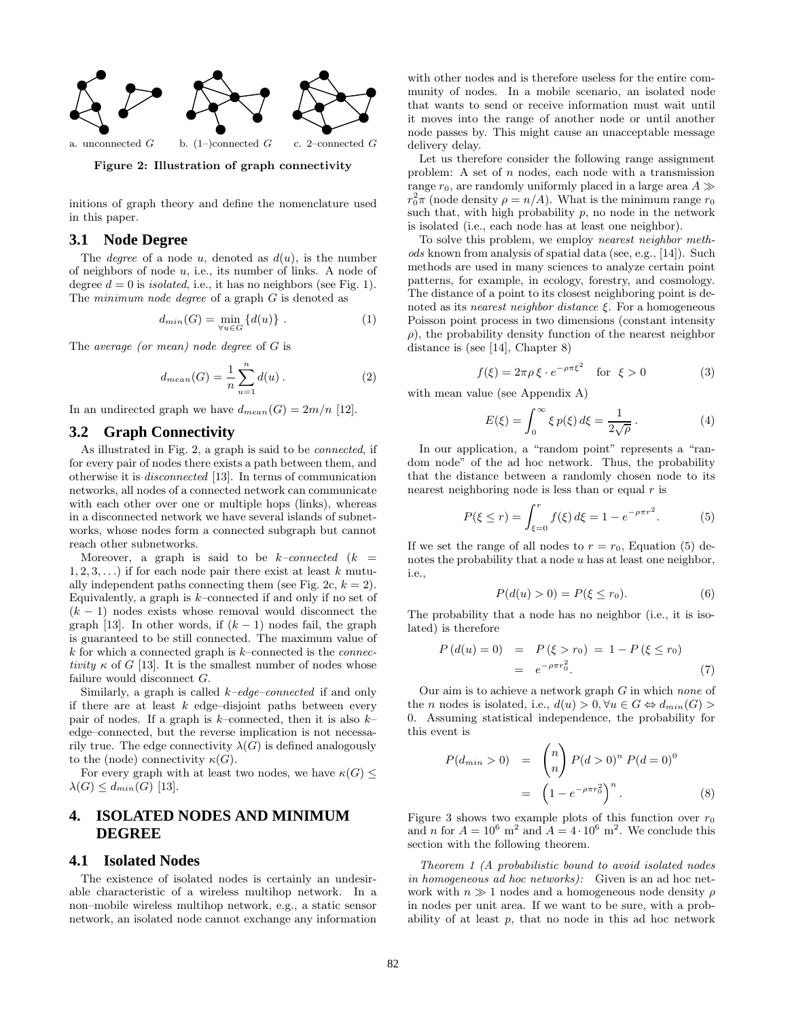

**Figure 2: Illustration of graph connectivity**

initions of graph theory and define the nomenclature used in this paper.

### **3.1 Node Degree**

The *degree* of a node u, denoted as  $d(u)$ , is the number of neighbors of node u, i.e., its number of links. A node of degree  $d = 0$  is *isolated*, i.e., it has no neighbors (see Fig. 1). The *minimum node degree* of a graph  $G$  is denoted as

$$
d_{min}(G) = \min_{\forall u \in G} \{d(u)\} . \tag{1}
$$

The average (or mean) node degree of G is

$$
d_{mean}(G) = \frac{1}{n} \sum_{u=1}^{n} d(u).
$$
 (2)

In an undirected graph we have  $d_{mean}(G) = 2m/n$  [12].

# **3.2 Graph Connectivity**

As illustrated in Fig. 2, a graph is said to be connected, if for every pair of nodes there exists a path between them, and otherwise it is disconnected [13]. In terms of communication networks, all nodes of a connected network can communicate with each other over one or multiple hops (links), whereas in a disconnected network we have several islands of subnetworks, whose nodes form a connected subgraph but cannot reach other subnetworks.

Moreover, a graph is said to be  $k$ -connected  $(k =$  $1, 2, 3, \ldots$ ) if for each node pair there exist at least k mutually independent paths connecting them (see Fig. 2c,  $k = 2$ ). Equivalently, a graph is  $k$ –connected if and only if no set of  $(k-1)$  nodes exists whose removal would disconnect the graph [13]. In other words, if  $(k-1)$  nodes fail, the graph is guaranteed to be still connected. The maximum value of  $k$  for which a connected graph is  $k$ –connected is the *connec*tivity  $\kappa$  of G [13]. It is the smallest number of nodes whose failure would disconnect G.

Similarly, a graph is called  $k$ -edge-connected if and only if there are at least  $k$  edge-disjoint paths between every pair of nodes. If a graph is  $k$ –connected, then it is also  $k$ – edge–connected, but the reverse implication is not necessarily true. The edge connectivity  $\lambda(G)$  is defined analogously to the (node) connectivity  $\kappa(G)$ .

For every graph with at least two nodes, we have  $\kappa(G)$  <  $\lambda(G) \leq d_{min}(G)$  [13].

# **4. ISOLATED NODES AND MINIMUM DEGREE**

# **4.1 Isolated Nodes**

The existence of isolated nodes is certainly an undesirable characteristic of a wireless multihop network. In a non–mobile wireless multihop network, e.g., a static sensor network, an isolated node cannot exchange any information

with other nodes and is therefore useless for the entire community of nodes. In a mobile scenario, an isolated node that wants to send or receive information must wait until it moves into the range of another node or until another node passes by. This might cause an unacceptable message delivery delay.

Let us therefore consider the following range assignment problem: A set of  $n$  nodes, each node with a transmission range  $r_0$ , are randomly uniformly placed in a large area  $A \gg$  $r_0^2 \pi$  (node density  $\rho = n/A$ ). What is the minimum range  $r_0$ such that, with high probability  $p$ , no node in the network is isolated (i.e., each node has at least one neighbor).

To solve this problem, we employ nearest neighbor methods known from analysis of spatial data (see, e.g., [14]). Such methods are used in many sciences to analyze certain point patterns, for example, in ecology, forestry, and cosmology. The distance of a point to its closest neighboring point is denoted as its *nearest neighbor distance*  $\xi$ . For a homogeneous Poisson point process in two dimensions (constant intensity  $\rho$ ), the probability density function of the nearest neighbor distance is (see [14], Chapter 8)

$$
f(\xi) = 2\pi\rho \xi \cdot e^{-\rho \pi \xi^2} \quad \text{for } \xi > 0 \tag{3}
$$

with mean value (see Appendix A)

$$
E(\xi) = \int_0^\infty \xi p(\xi) d\xi = \frac{1}{2\sqrt{\rho}}.
$$
 (4)

In our application, a "random point" represents a "random node" of the ad hoc network. Thus, the probability that the distance between a randomly chosen node to its nearest neighboring node is less than or equal  $r$  is

$$
P(\xi \le r) = \int_{\xi=0}^{r} f(\xi) d\xi = 1 - e^{-\rho \pi r^2}.
$$
 (5)

If we set the range of all nodes to  $r = r_0$ , Equation (5) denotes the probability that a node  $u$  has at least one neighbor, i.e.,

$$
P(d(u) > 0) = P(\xi \le r_0).
$$
 (6)

The probability that a node has no neighbor (i.e., it is isolated) is therefore

$$
P(d(u) = 0) = P(\xi > r_0) = 1 - P(\xi \le r_0)
$$
  
=  $e^{-\rho \pi r_0^2}$ . (7)

Our aim is to achieve a network graph  $G$  in which none of the *n* nodes is isolated, i.e.,  $d(u) > 0, \forall u \in G \Leftrightarrow d_{min}(G) >$ 0. Assuming statistical independence, the probability for this event is

$$
P(d_{min} > 0) = {n \choose n} P(d > 0)^n P(d = 0)^0
$$
  
=  $(1 - e^{-\rho \pi r_0^2})^n$ . (8)

Figure 3 shows two example plots of this function over  $r_0$ and n for  $A = 10^6$  m<sup>2</sup> and  $A = 4 \cdot 10^6$  m<sup>2</sup>. We conclude this section with the following theorem.

Theorem 1 (A probabilistic bound to avoid isolated nodes in homogeneous ad hoc networks): Given is an ad hoc network with  $n \gg 1$  nodes and a homogeneous node density  $\rho$ in nodes per unit area. If we want to be sure, with a probability of at least  $p$ , that no node in this ad hoc network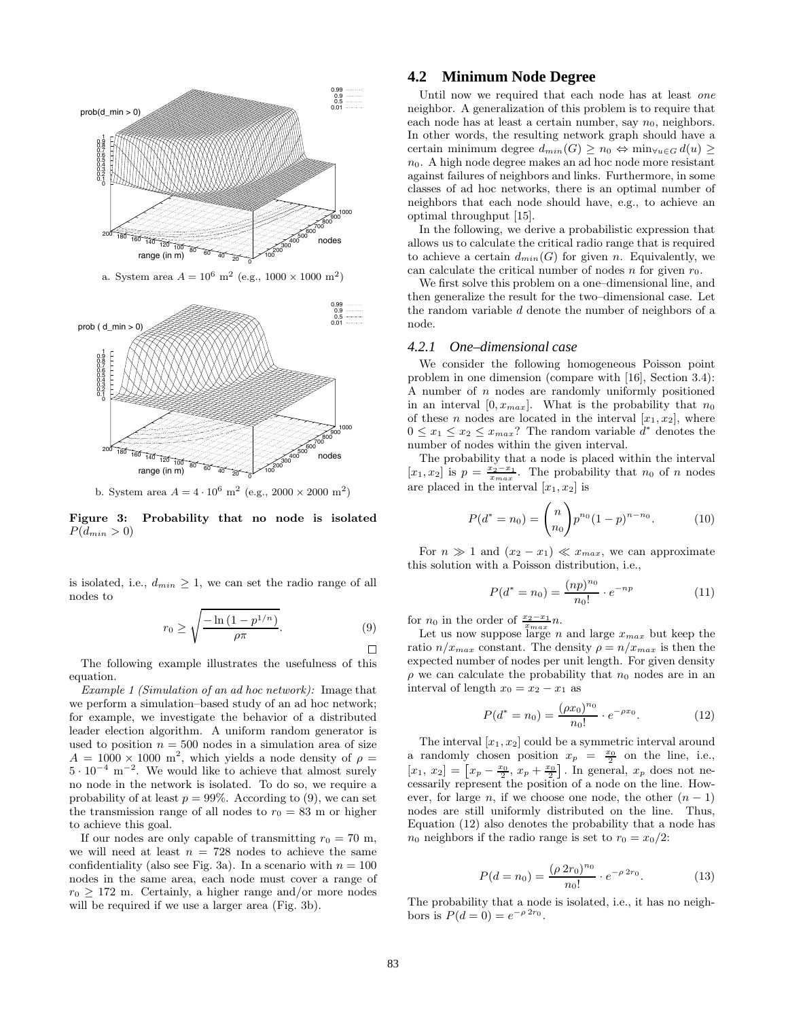

a. System area  $A = 10^6$  m<sup>2</sup> (e.g.,  $1000 \times 1000$  m<sup>2</sup>)



b. System area $A=4\cdot 10^6$   $\text{m}^2$  (e.g.,  $2000\times 2000$   $\text{m}^2)$ 

**Figure 3: Probability that no node is isolated**  $P(d_{min} > 0)$ 

is isolated, i.e.,  $d_{min} \geq 1$ , we can set the radio range of all nodes to

$$
r_0 \ge \sqrt{\frac{-\ln\left(1 - p^{1/n}\right)}{\rho \pi}}.\tag{9}
$$

The following example illustrates the usefulness of this equation.

Example 1 (Simulation of an ad hoc network): Image that we perform a simulation–based study of an ad hoc network; for example, we investigate the behavior of a distributed leader election algorithm. A uniform random generator is used to position  $n = 500$  nodes in a simulation area of size  $A = 1000 \times 1000$  m<sup>2</sup>, which yields a node density of  $\rho =$  $5 \cdot 10^{-4}$  m<sup>-2</sup>. We would like to achieve that almost surely no node in the network is isolated. To do so, we require a probability of at least  $p = 99\%$ . According to (9), we can set the transmission range of all nodes to  $r_0 = 83$  m or higher to achieve this goal.

If our nodes are only capable of transmitting  $r_0 = 70$  m, we will need at least  $n = 728$  nodes to achieve the same confidentiality (also see Fig. 3a). In a scenario with  $n = 100$ nodes in the same area, each node must cover a range of  $r_0 \geq 172$  m. Certainly, a higher range and/or more nodes will be required if we use a larger area (Fig. 3b).

# **4.2 Minimum Node Degree**

Until now we required that each node has at least one neighbor. A generalization of this problem is to require that each node has at least a certain number, say  $n_0$ , neighbors. In other words, the resulting network graph should have a certain minimum degree  $d_{min}(G) \geq n_0 \Leftrightarrow \min_{\forall u \in G} d(u) \geq$  $n_0$ . A high node degree makes an ad hoc node more resistant against failures of neighbors and links. Furthermore, in some classes of ad hoc networks, there is an optimal number of neighbors that each node should have, e.g., to achieve an optimal throughput [15].

In the following, we derive a probabilistic expression that allows us to calculate the critical radio range that is required to achieve a certain  $d_{min}(G)$  for given n. Equivalently, we can calculate the critical number of nodes  $n$  for given  $r_0$ .

We first solve this problem on a one–dimensional line, and then generalize the result for the two–dimensional case. Let the random variable d denote the number of neighbors of a node.

### *4.2.1 One–dimensional case*

We consider the following homogeneous Poisson point problem in one dimension (compare with [16], Section 3.4): A number of  $n$  nodes are randomly uniformly positioned in an interval  $[0, x_{max}]$ . What is the probability that  $n_0$ of these *n* nodes are located in the interval  $[x_1, x_2]$ , where  $0 \leq x_1 \leq x_2 \leq x_{max}$ ? The random variable  $d^*$  denotes the number of nodes within the given interval.

The probability that a node is placed within the interval  $[x_1, x_2]$  is  $p = \frac{x_2-x_1}{x_{max}}$ . The probability that  $n_0$  of n nodes are placed in the interval  $[x_1, x_2]$  is

$$
P(d^* = n_0) = {n \choose n_0} p^{n_0} (1-p)^{n-n_0}.
$$
 (10)

For  $n \gg 1$  and  $(x_2 - x_1) \ll x_{max}$ , we can approximate this solution with a Poisson distribution, i.e.,

$$
P(d^* = n_0) = \frac{(np)^{n_0}}{n_0!} \cdot e^{-np}
$$
 (11)

for  $n_0$  in the order of  $\frac{x_2-x_1}{x_{max}}n$ .

 Let us now suppose large n and large  $x_{max}$  but keep the ratio  $n/x_{max}$  constant. The density  $\rho = n/x_{max}$  is then the expected number of nodes per unit length. For given density  $\rho$  we can calculate the probability that  $n_0$  nodes are in an interval of length  $x_0 = x_2 - x_1$  as

$$
P(d^* = n_0) = \frac{(\rho x_0)^{n_0}}{n_0!} \cdot e^{-\rho x_0}.
$$
 (12)

The interval  $[x_1, x_2]$  could be a symmetric interval around a randomly chosen position  $x_p = \frac{x_0}{2}$  on the line, i.e.,  $[x_1, x_2] = \left[x_p - \frac{x_0}{2}, x_p + \frac{x_0}{2}\right]$ . In general,  $x_p$  does not ne-<br>cossarily represent the position of a node on the line. Howcessarily represent the position of a node on the line. However, for large n, if we choose one node, the other  $(n - 1)$ nodes are still uniformly distributed on the line. Thus, Equation (12) also denotes the probability that a node has  $n_0$  neighbors if the radio range is set to  $r_0 = x_0/2$ :

$$
P(d = n_0) = \frac{(\rho \ 2r_0)^{n_0}}{n_0!} \cdot e^{-\rho \ 2r_0}.
$$
 (13)

The probability that a node is isolated, i.e., it has no neighbors is  $P(d = 0) = e^{-\rho 2r_0}$ .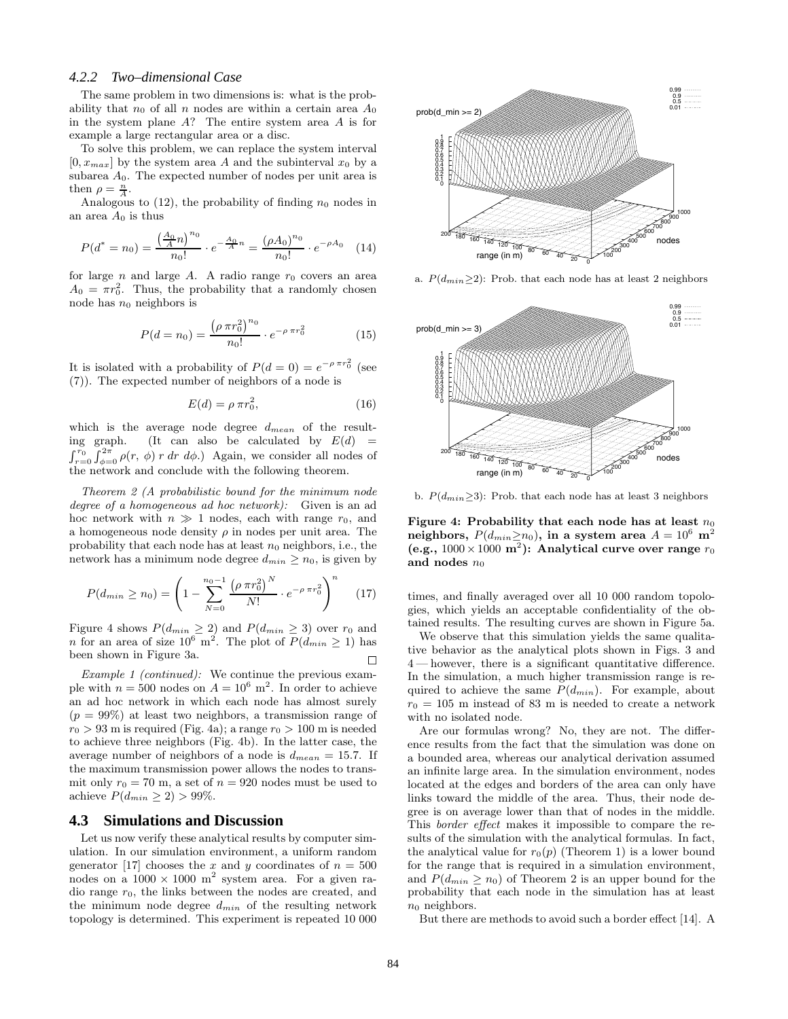#### *4.2.2 Two–dimensional Case*

The same problem in two dimensions is: what is the probability that  $n_0$  of all n nodes are within a certain area  $A_0$ in the system plane A? The entire system area A is for example a large rectangular area or a disc.

To solve this problem, we can replace the system interval  $[0, x_{max}]$  by the system area A and the subinterval  $x_0$  by a subarea  $A_0$ . The expected number of nodes per unit area is then  $\rho = \frac{\ddot{n}}{A}$ .

Analogous to  $(12)$ , the probability of finding  $n_0$  nodes in an area  $A_0$  is thus

$$
P(d^* = n_0) = \frac{\left(\frac{A_0}{A}n\right)^{n_0}}{n_0!} \cdot e^{-\frac{A_0}{A}n} = \frac{(\rho A_0)^{n_0}}{n_0!} \cdot e^{-\rho A_0} \quad (14)
$$

for large  $n$  and large  $A$ . A radio range  $r_0$  covers an area  $A_0 = \pi r_0^2$ . Thus, the probability that a randomly chosen node has  $n_0$  neighbors is

$$
P(d = n_0) = \frac{\left(\rho \pi r_0^2\right)^{n_0}}{n_0!} \cdot e^{-\rho \pi r_0^2} \tag{15}
$$

It is isolated with a probability of  $P(d=0) = e^{-\rho \pi r_0^2}$  (see (7)). The expected number of neighbors of a node is

$$
E(d) = \rho \pi r_0^2,\tag{16}
$$

which is the average node degree  $d_{mean}$  of the resulting graph. (It can also be calculated by  $E(d) =$  $\int_{r=0}^{r_0} \int_{\phi=r_0}^{2\pi} \rho(r, \phi) r dr d\phi$ .) Again, we consider all nodes of the network and conclude with the following theorem.

Theorem 2 (A probabilistic bound for the minimum node degree of a homogeneous ad hoc network): Given is an ad hoc network with  $n \gg 1$  nodes, each with range  $r_0$ , and a homogeneous node density  $\rho$  in nodes per unit area. The probability that each node has at least  $n_0$  neighbors, i.e., the network has a minimum node degree  $d_{min} \ge n_0$ , is given by

$$
P(d_{min} \ge n_0) = \left(1 - \sum_{N=0}^{n_0 - 1} \frac{\left(\rho \pi r_0^2\right)^N}{N!} \cdot e^{-\rho \pi r_0^2}\right)^n \tag{17}
$$

Figure 4 shows  $P(d_{min} \geq 2)$  and  $P(d_{min} \geq 3)$  over  $r_0$  and n for an area of size  $10^6$  m<sup>2</sup>. The plot of  $P(d_{min} \ge 1)$  has been shown in Figure 3a. П

Example 1 (continued): We continue the previous example with  $n = 500$  nodes on  $A = 10^6$  m<sup>2</sup>. In order to achieve an ad hoc network in which each node has almost surely  $(p = 99\%)$  at least two neighbors, a transmission range of  $r_0 > 93$  m is required (Fig. 4a); a range  $r_0 > 100$  m is needed to achieve three neighbors (Fig. 4b). In the latter case, the average number of neighbors of a node is  $d_{mean} = 15.7$ . If the maximum transmission power allows the nodes to transmit only  $r_0 = 70$  m, a set of  $n = 920$  nodes must be used to achieve  $P(d_{min} \geq 2) > 99\%.$ 

### **4.3 Simulations and Discussion**

Let us now verify these analytical results by computer simulation. In our simulation environment, a uniform random generator [17] chooses the x and y coordinates of  $n = 500$ nodes on a  $1000 \times 1000$  m<sup>2</sup> system area. For a given radio range  $r_0$ , the links between the nodes are created, and the minimum node degree  $d_{min}$  of the resulting network topology is determined. This experiment is repeated 10 000



a.  $P(d_{min} \geq 2)$ : Prob. that each node has at least 2 neighbors



b.  $P(d_{min} \geq 3)$ : Prob. that each node has at least 3 neighbors

**Figure 4: Probability that each node has at least**  $n_0$ neighbors,  $P(d_{min} \ge n_0)$ , in a system area  $A = 10^6$  m<sup>2</sup> (e.g.,  $1000 \times 1000$  m<sup>2</sup>): Analytical curve over range  $r_0$ and nodes  $n_0$ 

times, and finally averaged over all 10 000 random topologies, which yields an acceptable confidentiality of the obtained results. The resulting curves are shown in Figure 5a.

 $\Box$  4 — however, there is a significant quantitative difference. We observe that this simulation yields the same qualitative behavior as the analytical plots shown in Figs. 3 and In the simulation, a much higher transmission range is required to achieve the same  $P(d_{min})$ . For example, about  $r_0 = 105$  m instead of 83 m is needed to create a network with no isolated node.

> Are our formulas wrong? No, they are not. The difference results from the fact that the simulation was done on a bounded area, whereas our analytical derivation assumed an infinite large area. In the simulation environment, nodes located at the edges and borders of the area can only have links toward the middle of the area. Thus, their node degree is on average lower than that of nodes in the middle. This border effect makes it impossible to compare the results of the simulation with the analytical formulas. In fact, the analytical value for  $r_0(p)$  (Theorem 1) is a lower bound for the range that is required in a simulation environment, and  $P(d_{min} \ge n_0)$  of Theorem 2 is an upper bound for the probability that each node in the simulation has at least  $n_0$  neighbors.

But there are methods to avoid such a border effect [14]. A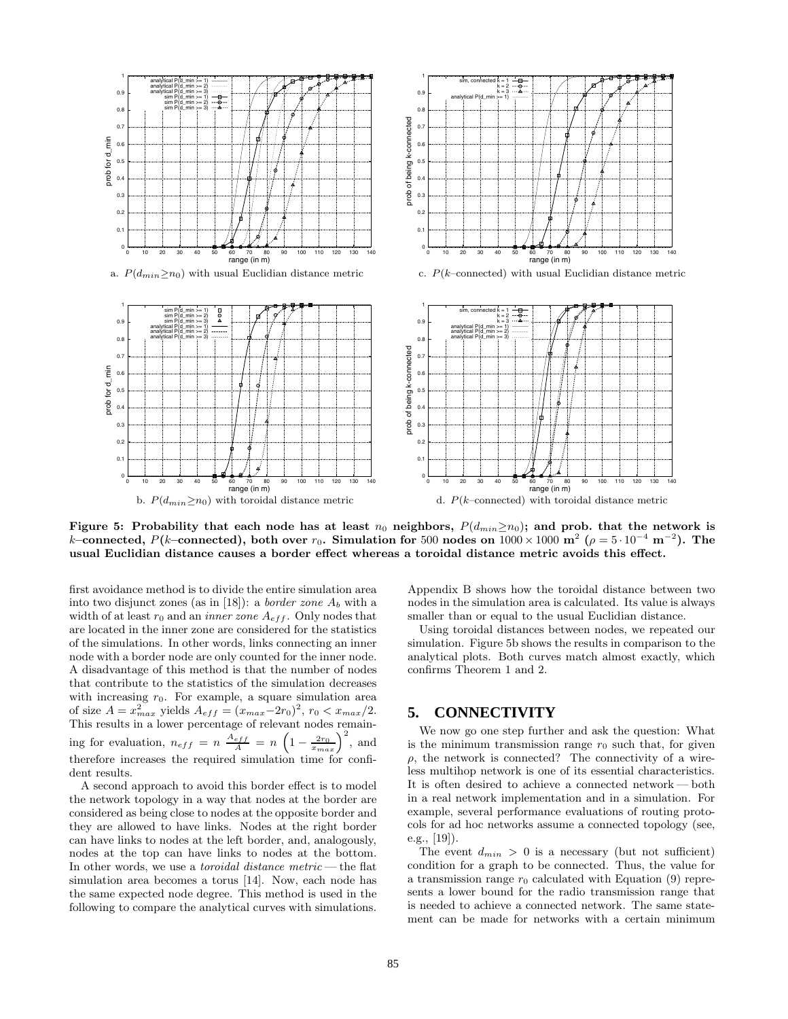

**Figure 5: Probability that each node has at least**  $n_0$  neighbors,  $P(d_{min}\geq n_0)$ ; and prob. that the network is k–connected,  $P(k$ –connected), both over  $r_0$ . Simulation for 500 nodes on  $1000 \times 1000$  m<sup>2</sup> ( $\rho = 5 \cdot 10^{-4}$  m<sup>-2</sup>). The **usual Euclidian distance causes a border effect whereas a toroidal distance metric avoids this effect.**

first avoidance method is to divide the entire simulation area into two disjunct zones (as in [18]): a *border zone*  $A_b$  with a width of at least  $r_0$  and an *inner zone*  $A_{eff}$ . Only nodes that are located in the inner zone are considered for the statistics of the simulations. In other words, links connecting an inner node with a border node are only counted for the inner node. A disadvantage of this method is that the number of nodes that contribute to the statistics of the simulation decreases with increasing  $r_0$ . For example, a square simulation area<br>of size  $A = x_{max}^2$  yields  $A_{eff} = (x_{max}-2r_0)^2$ ,  $r_0 < x_{max}/2$ .<br>This results in a lower percentage of relevant nodes remaining for evaluation,  $n_{eff} = n \frac{A_{eff}}{A} = n \left(1 - \frac{2r_0}{x_{max}}\right)^2$ , and therefore increases the required simulation time for confident results.

A second approach to avoid this border effect is to model the network topology in a way that nodes at the border are considered as being close to nodes at the opposite border and they are allowed to have links. Nodes at the right border can have links to nodes at the left border, and, analogously, nodes at the top can have links to nodes at the bottom. In other words, we use a *toroidal distance metric* — the flat simulation area becomes a torus [14]. Now, each node has the same expected node degree. This method is used in the following to compare the analytical curves with simulations.

Appendix B shows how the toroidal distance between two nodes in the simulation area is calculated. Its value is always smaller than or equal to the usual Euclidian distance.

Using toroidal distances between nodes, we repeated our simulation. Figure 5b shows the results in comparison to the analytical plots. Both curves match almost exactly, which confirms Theorem 1 and 2.

### **5. CONNECTIVITY**

We now go one step further and ask the question: What is the minimum transmission range  $r_0$  such that, for given  $\rho$ , the network is connected? The connectivity of a wireless multihop network is one of its essential characteristics. It is often desired to achieve a connected network — both in a real network implementation and in a simulation. For example, several performance evaluations of routing protocols for ad hoc networks assume a connected topology (see, e.g., [19]).

The event  $d_{min} > 0$  is a necessary (but not sufficient) condition for a graph to be connected. Thus, the value for a transmission range  $r_0$  calculated with Equation (9) represents a lower bound for the radio transmission range that is needed to achieve a connected network. The same statement can be made for networks with a certain minimum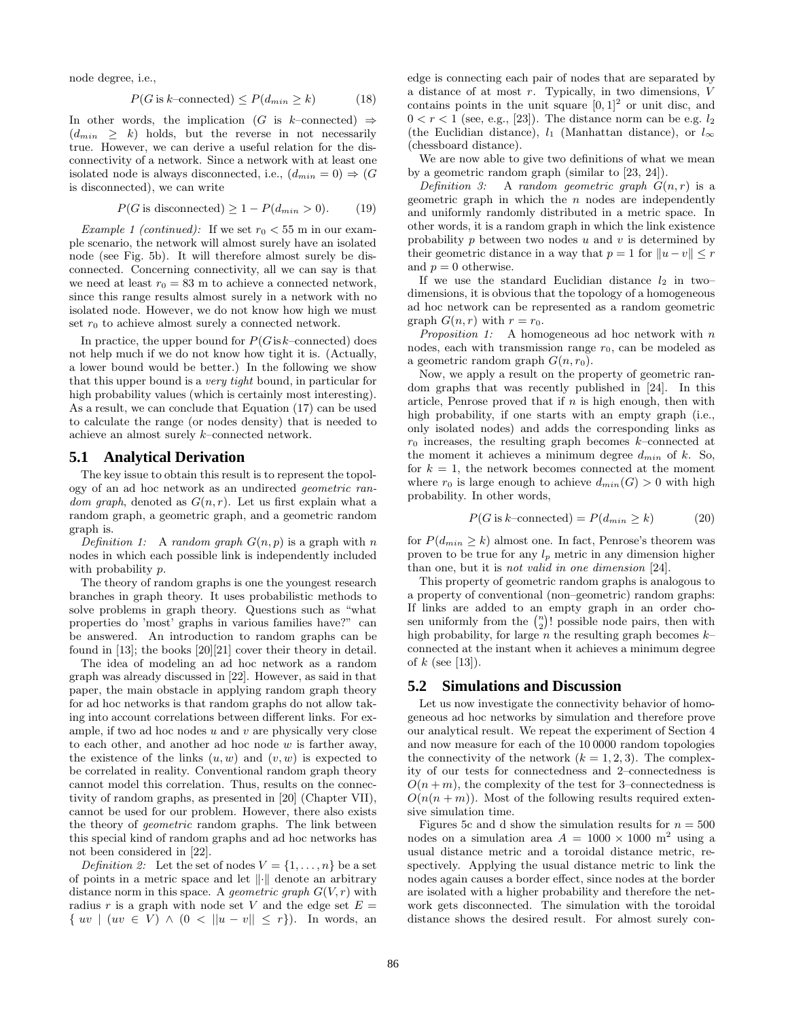node degree, i.e.,

$$
P(G \text{ is } k\text{-connected}) \le P(d_{min} \ge k) \tag{18}
$$

In other words, the implication (G is k–connected)  $\Rightarrow$  $(d_{min} \geq k)$  holds, but the reverse in not necessarily true. However, we can derive a useful relation for the disconnectivity of a network. Since a network with at least one isolated node is always disconnected, i.e.,  $(d_{min} = 0) \Rightarrow (G$ is disconnected), we can write

$$
P(G \text{ is disconnected}) \ge 1 - P(d_{min} > 0). \tag{19}
$$

*Example 1 (continued)*: If we set  $r_0 < 55$  m in our example scenario, the network will almost surely have an isolated node (see Fig. 5b). It will therefore almost surely be disconnected. Concerning connectivity, all we can say is that we need at least  $r_0 = 83$  m to achieve a connected network, since this range results almost surely in a network with no isolated node. However, we do not know how high we must set  $r_0$  to achieve almost surely a connected network.

In practice, the upper bound for  $P(G \text{ is } k\text{-connected})$  does not help much if we do not know how tight it is. (Actually, a lower bound would be better.) In the following we show that this upper bound is a very tight bound, in particular for high probability values (which is certainly most interesting). As a result, we can conclude that Equation (17) can be used to calculate the range (or nodes density) that is needed to achieve an almost surely k–connected network.

#### **5.1 Analytical Derivation**

The key issue to obtain this result is to represent the topology of an ad hoc network as an undirected geometric random graph, denoted as  $G(n, r)$ . Let us first explain what a random graph, a geometric graph, and a geometric random graph is.

Definition 1: A random graph  $G(n, p)$  is a graph with n nodes in which each possible link is independently included with probability p.

The theory of random graphs is one the youngest research branches in graph theory. It uses probabilistic methods to solve problems in graph theory. Questions such as "what properties do 'most' graphs in various families have?" can be answered. An introduction to random graphs can be found in [13]; the books [20][21] cover their theory in detail.

The idea of modeling an ad hoc network as a random graph was already discussed in [22]. However, as said in that paper, the main obstacle in applying random graph theory for ad hoc networks is that random graphs do not allow taking into account correlations between different links. For example, if two ad hoc nodes  $u$  and  $v$  are physically very close to each other, and another ad hoc node  $w$  is farther away, the existence of the links  $(u, w)$  and  $(v, w)$  is expected to be correlated in reality. Conventional random graph theory cannot model this correlation. Thus, results on the connectivity of random graphs, as presented in [20] (Chapter VII), cannot be used for our problem. However, there also exists the theory of geometric random graphs. The link between this special kind of random graphs and ad hoc networks has not been considered in [22].

Definition 2: Let the set of nodes  $V = \{1, \ldots, n\}$  be a set of points in a metric space and let  $\|\cdot\|$  denote an arbitrary distance norm in this space. A *geometric graph*  $G(V,r)$  with radius r is a graph with node set V and the edge set  $E =$  $\{ uv \mid (uv \in V) \land (0 < ||u - v|| \leq r \}).$  In words, an edge is connecting each pair of nodes that are separated by a distance of at most r. Typically, in two dimensions, V contains points in the unit square  $[0, 1]^2$  or unit disc, and  $0 < r < 1$  (see, e.g., [23]). The distance norm can be e.g.  $l_2$ (the Euclidian distance),  $l_1$  (Manhattan distance), or  $l_{\infty}$ (chessboard distance).

We are now able to give two definitions of what we mean by a geometric random graph (similar to [23, 24]).

Definition 3: A random geometric graph  $G(n,r)$  is a geometric graph in which the  $n$  nodes are independently and uniformly randomly distributed in a metric space. In other words, it is a random graph in which the link existence probability  $p$  between two nodes  $u$  and  $v$  is determined by their geometric distance in a way that  $p = 1$  for  $||u - v|| \leq r$ and  $p = 0$  otherwise.

If we use the standard Euclidian distance  $l_2$  in two– dimensions, it is obvious that the topology of a homogeneous ad hoc network can be represented as a random geometric graph  $G(n, r)$  with  $r = r_0$ .

 $Proposition \ 1: \quad {\bf A}$  homogeneous ad hoc network with  $n$ nodes, each with transmission range  $r_0$ , can be modeled as a geometric random graph  $G(n, r_0)$ .

Now, we apply a result on the property of geometric random graphs that was recently published in [24]. In this article, Penrose proved that if  $n$  is high enough, then with high probability, if one starts with an empty graph (i.e., only isolated nodes) and adds the corresponding links as  $r_0$  increases, the resulting graph becomes k–connected at the moment it achieves a minimum degree  $d_{min}$  of k. So, for  $k = 1$ , the network becomes connected at the moment where  $r_0$  is large enough to achieve  $d_{min}(G) > 0$  with high probability. In other words,

$$
P(G \text{ is } k\text{-connected}) = P(d_{min} \ge k) \tag{20}
$$

for  $P(d_{min} \ge k)$  almost one. In fact, Penrose's theorem was proven to be true for any  $l_p$  metric in any dimension higher than one, but it is not valid in one dimension [24].

This property of geometric random graphs is analogous to a property of conventional (non–geometric) random graphs: If links are added to an empty graph in an order chosen uniformly from the  $\binom{n}{2}$ ! possible node pairs, then with high probability for large *n* the resulting graph becomes *k*high probability, for large n the resulting graph becomes  $k$ connected at the instant when it achieves a minimum degree of  $k$  (see [13]).

### **5.2 Simulations and Discussion**

Let us now investigate the connectivity behavior of homogeneous ad hoc networks by simulation and therefore prove our analytical result. We repeat the experiment of Section 4 and now measure for each of the 10 0000 random topologies the connectivity of the network  $(k = 1, 2, 3)$ . The complexity of our tests for connectedness and 2–connectedness is  $O(n+m)$ , the complexity of the test for 3–connectedness is  $O(n(n+m))$ . Most of the following results required extensive simulation time.

Figures 5c and d show the simulation results for  $n = 500$ nodes on a simulation area  $A = 1000 \times 1000$  m<sup>2</sup> using a usual distance metric and a toroidal distance metric, respectively. Applying the usual distance metric to link the nodes again causes a border effect, since nodes at the border are isolated with a higher probability and therefore the network gets disconnected. The simulation with the toroidal distance shows the desired result. For almost surely con-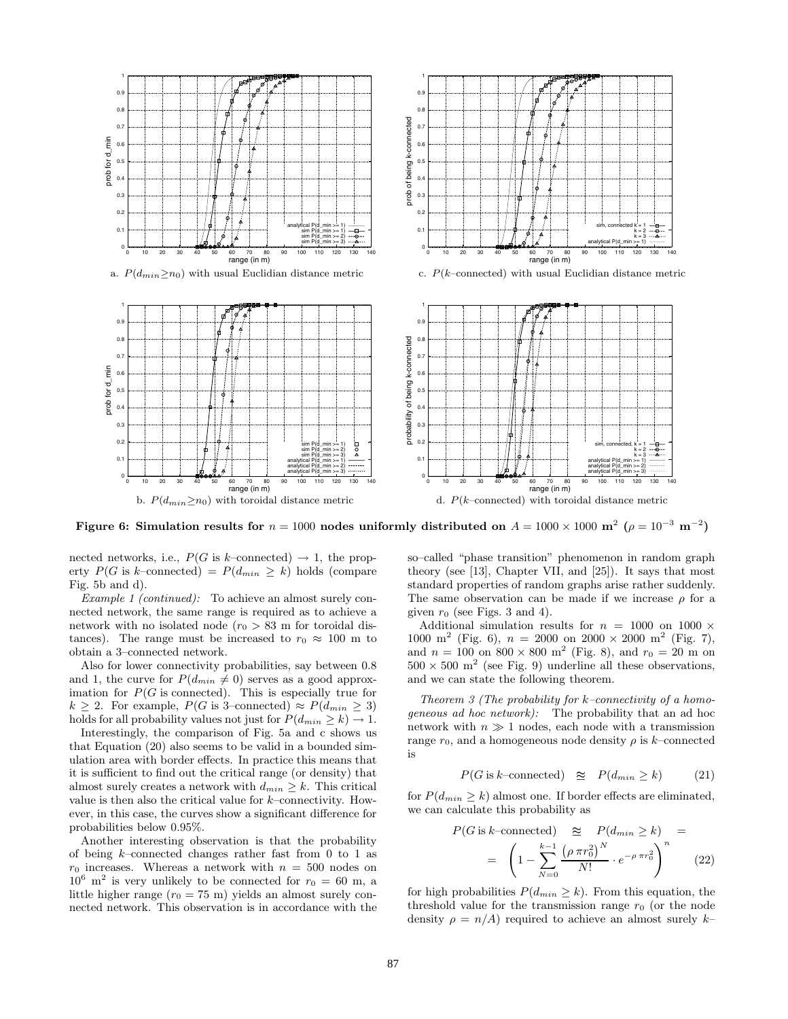

**Figure 6: Simulation results for**  $n = 1000$  **nodes uniformly distributed on**  $A = 1000 \times 1000$  **m<sup>2</sup>**  $(\rho = 10^{-3} \text{ m}^{-2})$ 

nected networks, i.e.,  $P(G \text{ is } k\text{-connected}) \rightarrow 1$ , the property  $P(G \text{ is } k\text{-connected}) = P(d_{min} \ge k)$  holds (compare Fig. 5b and d).

Example 1 (continued): To achieve an almost surely connected network, the same range is required as to achieve a network with no isolated node  $(r_0 > 83$  m for toroidal distances). The range must be increased to  $r_0 \approx 100$  m to obtain a 3–connected network.

Also for lower connectivity probabilities, say between 0.8 and 1, the curve for  $P(d_{min} \neq 0)$  serves as a good approximation for  $P(G \text{ is connected})$ . This is especially true for  $k \geq 2$ . For example,  $P(G \text{ is 3-connected}) \approx P(d_{min} \geq 3)$ holds for all probability values not just for  $P(d_{min} \ge k) \to 1$ .

Interestingly, the comparison of Fig. 5a and c shows us that Equation (20) also seems to be valid in a bounded simulation area with border effects. In practice this means that it is sufficient to find out the critical range (or density) that almost surely creates a network with  $d_{min} \geq k$ . This critical value is then also the critical value for  $k$ –connectivity. However, in this case, the curves show a significant difference for probabilities below 0.95%.

Another interesting observation is that the probability of being  $k$ -connected changes rather fast from 0 to 1 as  $r_0$  increases. Whereas a network with  $n = 500$  nodes on  $10^6$   $m^2$  is some will that the connected frame. Comparison  $10^6$  m<sup>2</sup> is very unlikely to be connected for  $r_0 = 60$  m, a little higher range  $(r_0 = 75 \text{ m})$  yields an almost surely connected network. This observation is in accordance with the so–called "phase transition" phenomenon in random graph theory (see [13], Chapter VII, and [25]). It says that most standard properties of random graphs arise rather suddenly. The same observation can be made if we increase  $\rho$  for a given  $r_0$  (see Figs. 3 and 4).

Additional simulation results for  $n = 1000$  on 1000  $\times$ 1000 m<sup>2</sup> (Fig. 6),  $n = 2000$  on  $2000 \times 2000$  m<sup>2</sup> (Fig. 7), and  $n = 100$  on  $800 \times 800$  m<sup>2</sup> (Fig. 8), and  $r_0 = 20$  m on  $500 \times 500$  m<sup>2</sup> (see Fig. 9) underline all these observations, and we can state the following theorem.

Theorem 3 (The probability for  $k$ -connectivity of a homogeneous ad hoc network): The probability that an ad hoc network with  $n \gg 1$  nodes, each node with a transmission range  $r_0$ , and a homogeneous node density  $\rho$  is k–connected is

$$
P(G \text{ is } k\text{-connected}) \quad \cong \quad P(d_{min} \ge k) \tag{21}
$$

for  $P(d_{min} \ge k)$  almost one. If border effects are eliminated, we can calculate this probability as

$$
P(G \text{ is } k\text{-connected}) \quad \cong \quad P(d_{min} \ge k) \quad =
$$
\n
$$
= \left(1 - \sum_{N=0}^{k-1} \frac{\left(\rho \pi r_0^2\right)^N}{N!} \cdot e^{-\rho \pi r_0^2}\right)^n \tag{22}
$$

for high probabilities  $P(d_{min} \ge k)$ . From this equation, the threshold value for the transmission range  $r_0$  (or the node density  $\rho = n/A$ ) required to achieve an almost surely k–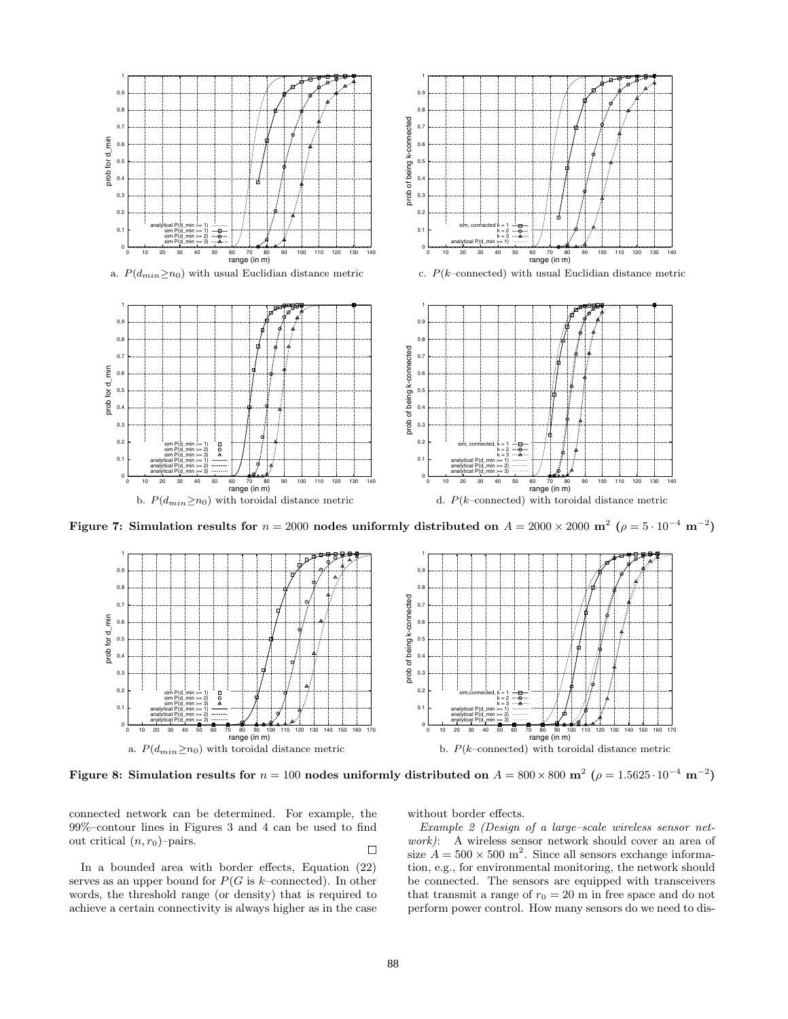

**Figure 7: Simulation results for**  $n = 2000$  **nodes uniformly distributed on**  $A = 2000 \times 2000$  **m<sup>2</sup>**  $(\rho = 5 \cdot 10^{-4} \text{ m}^{-2})$ 



**Figure 8: Simulation results for**  $n = 100$  **nodes uniformly distributed on**  $A = 800 \times 800$  **m**<sup>2</sup>  $(\rho = 1.5625 \cdot 10^{-4}$  **m**<sup>−2</sup>)

connected network can be determined. For example, the 99%–contour lines in Figures 3 and 4 can be used to find out critical  $(n, r_0)$ -pairs.

In a bounded area with border effects, Equation (22) serves as an upper bound for  $P(G \text{ is } k\text{-connected})$ . In other words, the threshold range (or density) that is required to achieve a certain connectivity is always higher as in the case without border effects.

 $\Box$  size  $A = 500 \times 500$  m<sup>2</sup>. Since all sensors exchange informa-Example 2 (Design of a large–scale wireless sensor network): A wireless sensor network should cover an area of tion, e.g., for environmental monitoring, the network should be connected. The sensors are equipped with transceivers that transmit a range of  $r_0 = 20$  m in free space and do not perform power control. How many sensors do we need to dis-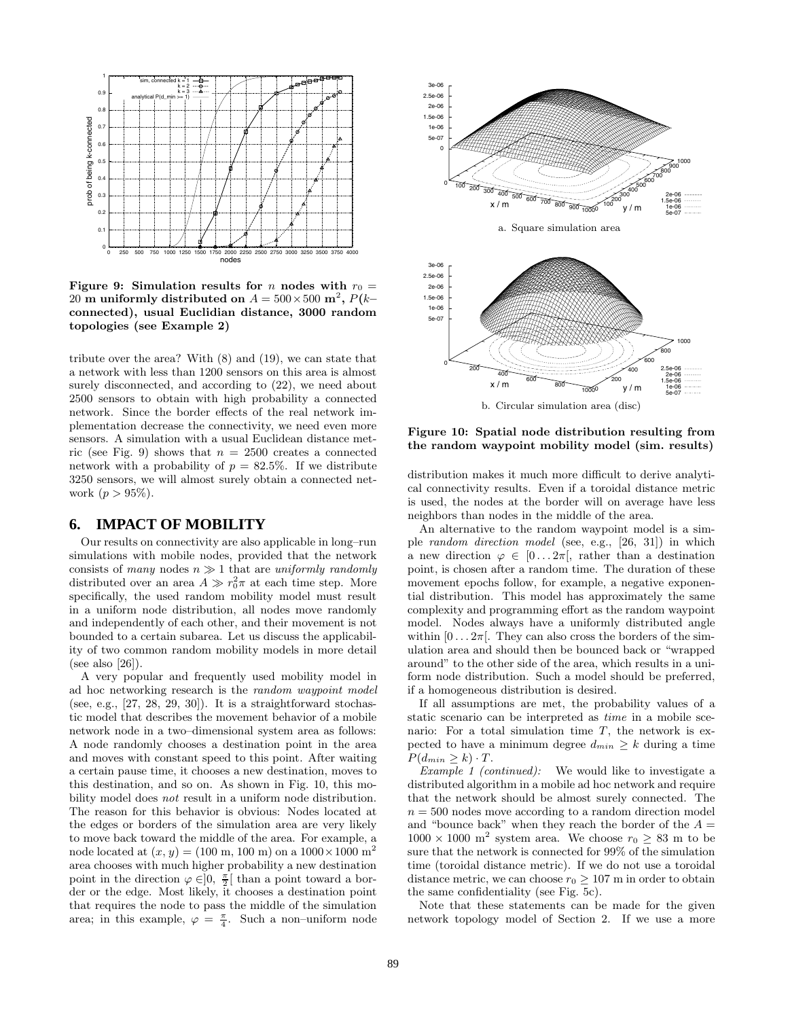

**Figure 9:** Simulation results for *n* nodes with  $r_0 =$ 20 **m** uniformly distributed on  $A = 500 \times 500$  m<sup>2</sup>,  $P(k$ **connected), usual Euclidian distance, 3000 random topologies (see Example 2)**

tribute over the area? With (8) and (19), we can state that a network with less than 1200 sensors on this area is almost surely disconnected, and according to  $(22)$ , we need about 2500 sensors to obtain with high probability a connected network. Since the border effects of the real network implementation decrease the connectivity, we need even more sensors. A simulation with a usual Euclidean distance metric (see Fig. 9) shows that  $n = 2500$  creates a connected network with a probability of  $p = 82.5\%$ . If we distribute 3250 sensors, we will almost surely obtain a connected network  $(p > 95\%).$ 

# **6. IMPACT OF MOBILITY**

Our results on connectivity are also applicable in long–run simulations with mobile nodes, provided that the network consists of many nodes  $n \gg 1$  that are uniformly randomly distributed over an area  $A \gg r_0^2 \pi$  at each time step. More specifically, the used random mobility model must result in a uniform node distribution, all nodes move randomly and independently of each other, and their movement is not bounded to a certain subarea. Let us discuss the applicability of two common random mobility models in more detail (see also [26]).

A very popular and frequently used mobility model in ad hoc networking research is the random waypoint model (see, e.g.,  $[27, 28, 29, 30]$ ). It is a straightforward stochastic model that describes the movement behavior of a mobile network node in a two–dimensional system area as follows: A node randomly chooses a destination point in the area and moves with constant speed to this point. After waiting a certain pause time, it chooses a new destination, moves to this destination, and so on. As shown in Fig. 10, this mobility model does not result in a uniform node distribution. The reason for this behavior is obvious: Nodes located at the edges or borders of the simulation area are very likely to move back toward the middle of the area. For example, a node located at  $(x, y) = (100 \text{ m}, 100 \text{ m})$  on a  $1000 \times 1000 \text{ m}^2$ area chooses with much higher probability a new destination point in the direction  $\varphi \in ]0, \frac{\pi}{2} [$  than a point toward a bor-<br>der or the edge. Most likely it chooses a destination point der or the edge. Most likely, it chooses a destination point that requires the node to pass the middle of the simulation area; in this example,  $\varphi = \frac{\pi}{4}$ . Such a non-uniform node



**Figure 10: Spatial node distribution resulting from the random waypoint mobility model (sim. results)**

distribution makes it much more difficult to derive analytical connectivity results. Even if a toroidal distance metric is used, the nodes at the border will on average have less neighbors than nodes in the middle of the area.

An alternative to the random waypoint model is a simple random direction model (see, e.g., [26, 31]) in which a new direction  $\varphi \in [0...2\pi]$ , rather than a destination point, is chosen after a random time. The duration of these movement epochs follow, for example, a negative exponential distribution. This model has approximately the same complexity and programming effort as the random waypoint model. Nodes always have a uniformly distributed angle within  $[0 \dots 2\pi]$ . They can also cross the borders of the simulation area and should then be bounced back or "wrapped around" to the other side of the area, which results in a uniform node distribution. Such a model should be preferred, if a homogeneous distribution is desired.

If all assumptions are met, the probability values of a static scenario can be interpreted as time in a mobile scenario: For a total simulation time  $T$ , the network is expected to have a minimum degree  $d_{min} \geq k$  during a time  $P(d_{min} \geq k) \cdot T$ .

Example 1 (continued): We would like to investigate a distributed algorithm in a mobile ad hoc network and require that the network should be almost surely connected. The  $n = 500$  nodes move according to a random direction model and "bounce back" when they reach the border of the  $A =$  $1000 \times 1000$  m<sup>2</sup> system area. We choose  $r_0 \geq 83$  m to be sure that the network is connected for 99% of the simulation time (toroidal distance metric). If we do not use a toroidal distance metric, we can choose  $r_0 \geq 107$  m in order to obtain the same confidentiality (see Fig. 5c).

Note that these statements can be made for the given network topology model of Section 2. If we use a more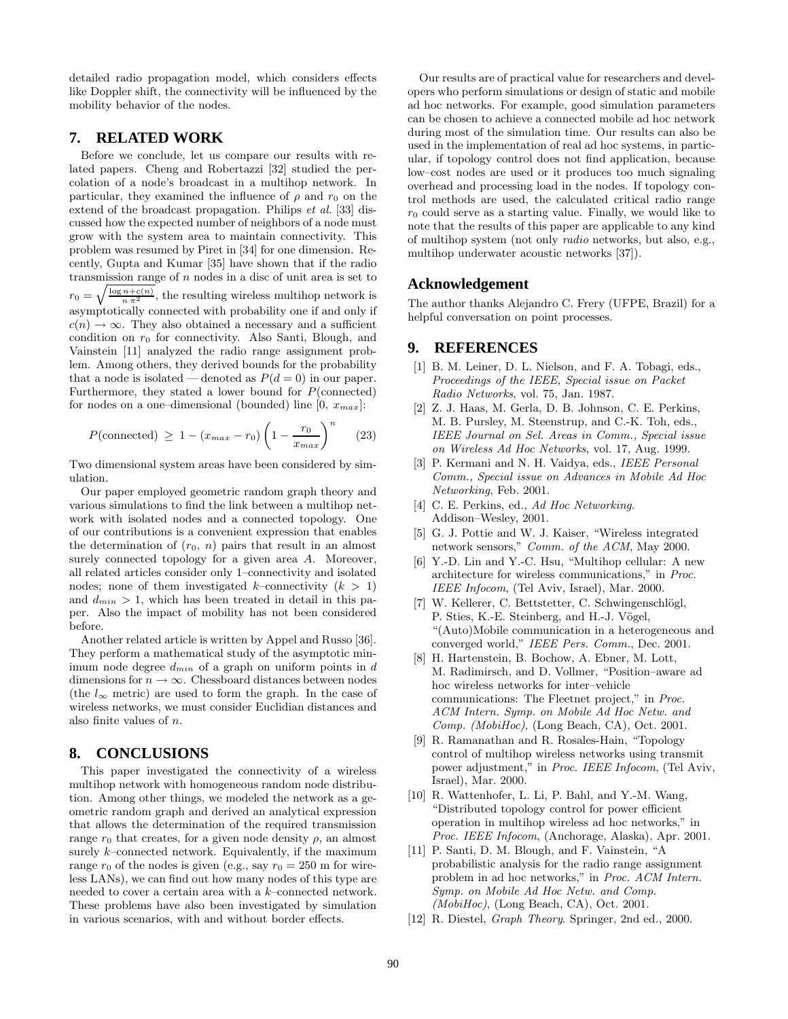detailed radio propagation model, which considers effects like Doppler shift, the connectivity will be influenced by the mobility behavior of the nodes.

# **7. RELATED WORK**

Before we conclude, let us compare our results with related papers. Cheng and Robertazzi [32] studied the percolation of a node's broadcast in a multihop network. In particular, they examined the influence of  $\rho$  and  $r_0$  on the extend of the broadcast propagation. Philips et al. [33] discussed how the expected number of neighbors of a node must grow with the system area to maintain connectivity. This problem was resumed by Piret in [34] for one dimension. Recently, Gupta and Kumar [35] have shown that if the radio transmission range of  $n$  nodes in a disc of unit area is set to  $r_0 = \sqrt{\frac{\log n + c(n)}{n \pi^2}}$ , the resulting wireless multihop network is asymptotically connected with probability one if and only if  $c(n) \to \infty$ . They also obtained a necessary and a sufficient condition on  $r_0$  for connectivity. Also Santi, Blough, and Vainstein [11] analyzed the radio range assignment problem. Among others, they derived bounds for the probability that a node is isolated — denoted as  $P(d=0)$  in our paper. Furthermore, they stated a lower bound for  $P(\text{connected})$ for nodes on a one–dimensional (bounded) line  $[0, x_{max}]$ :

$$
P(\text{connected}) \ge 1 - (x_{max} - r_0) \left(1 - \frac{r_0}{x_{max}}\right)^n \tag{23}
$$

Two dimensional system areas have been considered by simulation.

Our paper employed geometric random graph theory and various simulations to find the link between a multihop network with isolated nodes and a connected topology. One of our contributions is a convenient expression that enables the determination of  $(r_0, n)$  pairs that result in an almost surely connected topology for a given area A. Moreover, all related articles consider only 1–connectivity and isolated nodes; none of them investigated k–connectivity  $(k > 1)$ and  $d_{min} > 1$ , which has been treated in detail in this paper. Also the impact of mobility has not been considered before.

Another related article is written by Appel and Russo [36]. They perform a mathematical study of the asymptotic minimum node degree  $d_{min}$  of a graph on uniform points in  $d$ dimensions for  $n \to \infty$ . Chessboard distances between nodes (the  $l_{\infty}$  metric) are used to form the graph. In the case of wireless networks, we must consider Euclidian distances and also finite values of n.

# **8. CONCLUSIONS**

This paper investigated the connectivity of a wireless multihop network with homogeneous random node distribution. Among other things, we modeled the network as a geometric random graph and derived an analytical expression that allows the determination of the required transmission range  $r_0$  that creates, for a given node density  $\rho$ , an almost surely  $k$ –connected network. Equivalently, if the maximum range  $r_0$  of the nodes is given (e.g., say  $r_0 = 250$  m for wireless LANs), we can find out how many nodes of this type are needed to cover a certain area with a  $k$ –connected network. These problems have also been investigated by simulation in various scenarios, with and without border effects.

Our results are of practical value for researchers and developers who perform simulations or design of static and mobile ad hoc networks. For example, good simulation parameters can be chosen to achieve a connected mobile ad hoc network during most of the simulation time. Our results can also be used in the implementation of real ad hoc systems, in particular, if topology control does not find application, because low–cost nodes are used or it produces too much signaling overhead and processing load in the nodes. If topology control methods are used, the calculated critical radio range  $r_0$  could serve as a starting value. Finally, we would like to  $r_0$  that the property of this property and include to see high note that the results of this paper are applicable to any kind of multihop system (not only radio networks, but also, e.g., multihop underwater acoustic networks [37]).

# **Acknowledgement**

The author thanks Alejandro C. Frery (UFPE, Brazil) for a helpful conversation on point processes.

### **9. REFERENCES**

- [1] B. M. Leiner, D. L. Nielson, and F. A. Tobagi, eds., Proceedings of the IEEE, Special issue on Packet Radio Networks, vol. 75, Jan. 1987.
- [2] Z. J. Haas, M. Gerla, D. B. Johnson, C. E. Perkins, M. B. Pursley, M. Steenstrup, and C.-K. Toh, eds., IEEE Journal on Sel. Areas in Comm., Special issue on Wireless Ad Hoc Networks, vol. 17, Aug. 1999.
- [3] P. Kermani and N. H. Vaidya, eds., *IEEE Personal* Comm., Special issue on Advances in Mobile Ad Hoc Networking, Feb. 2001.
- [4] C. E. Perkins, ed., Ad Hoc Networking. Addison–Wesley, 2001.
- [5] G. J. Pottie and W. J. Kaiser, "Wireless integrated network sensors," Comm. of the ACM, May 2000.
- [6] Y.-D. Lin and Y.-C. Hsu, "Multihop cellular: A new architecture for wireless communications," in Proc. IEEE Infocom, (Tel Aviv, Israel), Mar. 2000.
- [7] W. Kellerer, C. Bettstetter, C. Schwingenschlögl, P. Sties, K.-E. Steinberg, and H.-J. Vögel, "(Auto)Mobile communication in a heterogeneous and converged world," IEEE Pers. Comm., Dec. 2001.
- [8] H. Hartenstein, B. Bochow, A. Ebner, M. Lott, M. Radimirsch, and D. Vollmer, "Position–aware ad hoc wireless networks for inter–vehicle communications: The Fleetnet project," in Proc. ACM Intern. Symp. on Mobile Ad Hoc Netw. and  $Comp. (MobiHoc), (Long Beach, CA), Oct. 2001.$
- [9] R. Ramanathan and R. Rosales-Hain, "Topology control of multihop wireless networks using transmit power adjustment," in Proc. IEEE Infocom, (Tel Aviv, Israel), Mar. 2000.
- [10] R. Wattenhofer, L. Li, P. Bahl, and Y.-M. Wang, "Distributed topology control for power efficient operation in multihop wireless ad hoc networks," in Proc. IEEE Infocom, (Anchorage, Alaska), Apr. 2001.
- [11] P. Santi, D. M. Blough, and F. Vainstein, "A probabilistic analysis for the radio range assignment problem in ad hoc networks," in Proc. ACM Intern. Symp. on Mobile Ad Hoc Netw. and Comp.  $(MobiHoc)$ , (Long Beach, CA), Oct. 2001.
- [12] R. Diestel, Graph Theory. Springer, 2nd ed., 2000.